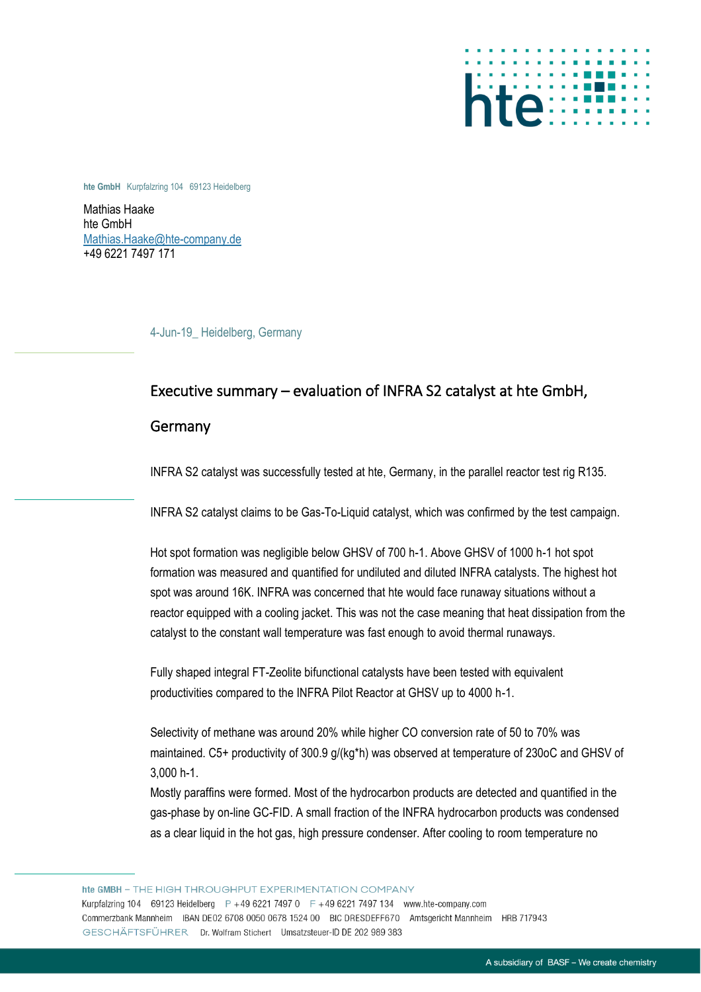

**hte GmbH** Kurpfalzring 104 69123 Heidelberg

Mathias Haake hte GmbH [Mathias.Haake@hte-company.de](mailto:Mathias.Haake@hte-company.de) +49 6221 7497 171

4-Jun-19\_ Heidelberg, Germany

## Executive summary – evaluation of INFRA S2 catalyst at hte GmbH,

## Germany

INFRA S2 catalyst was successfully tested at hte, Germany, in the parallel reactor test rig R135.

INFRA S2 catalyst claims to be Gas-To-Liquid catalyst, which was confirmed by the test campaign.

Hot spot formation was negligible below GHSV of 700 h-1. Above GHSV of 1000 h-1 hot spot formation was measured and quantified for undiluted and diluted INFRA catalysts. The highest hot spot was around 16K. INFRA was concerned that hte would face runaway situations without a reactor equipped with a cooling jacket. This was not the case meaning that heat dissipation from the catalyst to the constant wall temperature was fast enough to avoid thermal runaways.

Fully shaped integral FT-Zeolite bifunctional catalysts have been tested with equivalent productivities compared to the INFRA Pilot Reactor at GHSV up to 4000 h-1.

Selectivity of methane was around 20% while higher CO conversion rate of 50 to 70% was maintained. C5+ productivity of 300.9 g/(kg\*h) was observed at temperature of 230oC and GHSV of 3,000 h-1.

Mostly paraffins were formed. Most of the hydrocarbon products are detected and quantified in the gas-phase by on-line GC-FID. A small fraction of the INFRA hydrocarbon products was condensed as a clear liquid in the hot gas, high pressure condenser. After cooling to room temperature no

hte GMBH - THE HIGH THROUGHPUT EXPERIMENTATION COMPANY Kurpfalzring 104 69123 Heidelberg P +49 6221 7497 0 F +49 6221 7497 134 www.hte-company.com Commerzbank Mannheim IBAN DE02 6708 0050 0678 1524 00 BIC DRESDEFF670 Amtsgericht Mannheim HRB 717943 GESCHÄFTSFÜHRER Dr. Wolfram Stichert Umsatzsteuer-ID DE 202 989 383